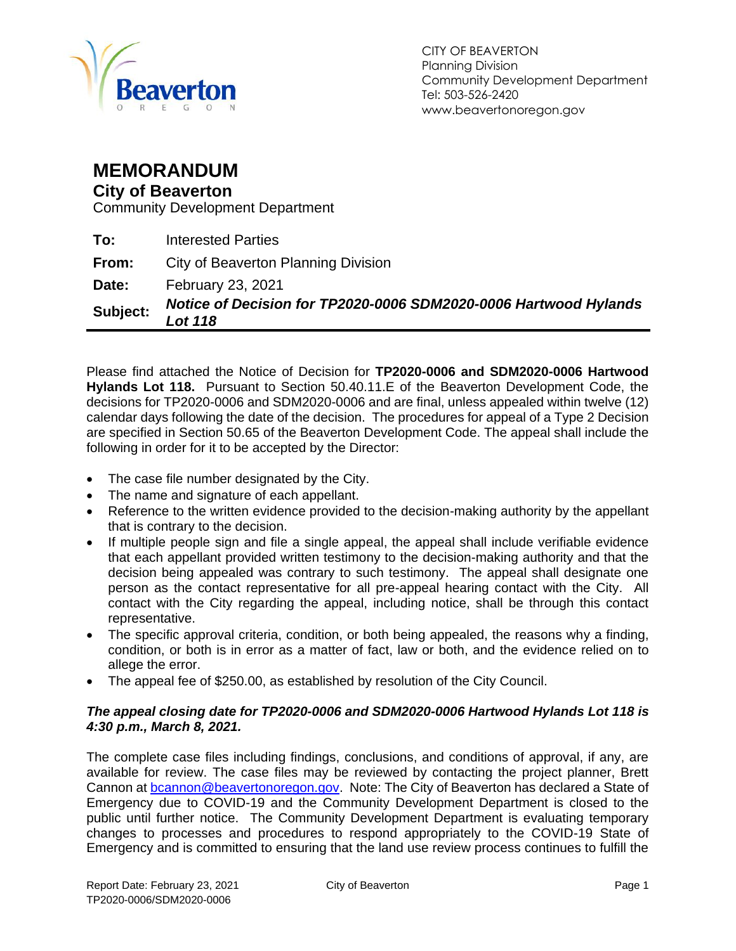

### **MEMORANDUM**

#### **City of Beaverton**

Community Development Department

| Subject: | Notice of Decision for TP2020-0006 SDM2020-0006 Hartwood Hylands<br><b>Lot 118</b> |
|----------|------------------------------------------------------------------------------------|
| Date:    | <b>February 23, 2021</b>                                                           |
| From:    | City of Beaverton Planning Division                                                |
| To:      | <b>Interested Parties</b>                                                          |

Please find attached the Notice of Decision for **TP2020-0006 and SDM2020-0006 Hartwood Hylands Lot 118.** Pursuant to Section 50.40.11.E of the Beaverton Development Code, the decisions for TP2020-0006 and SDM2020-0006 and are final, unless appealed within twelve (12) calendar days following the date of the decision. The procedures for appeal of a Type 2 Decision are specified in Section 50.65 of the Beaverton Development Code. The appeal shall include the following in order for it to be accepted by the Director:

- The case file number designated by the City.
- The name and signature of each appellant.
- Reference to the written evidence provided to the decision-making authority by the appellant that is contrary to the decision.
- If multiple people sign and file a single appeal, the appeal shall include verifiable evidence that each appellant provided written testimony to the decision-making authority and that the decision being appealed was contrary to such testimony. The appeal shall designate one person as the contact representative for all pre-appeal hearing contact with the City. All contact with the City regarding the appeal, including notice, shall be through this contact representative.
- The specific approval criteria, condition, or both being appealed, the reasons why a finding, condition, or both is in error as a matter of fact, law or both, and the evidence relied on to allege the error.
- The appeal fee of \$250.00, as established by resolution of the City Council.

#### *The appeal closing date for TP2020-0006 and SDM2020-0006 Hartwood Hylands Lot 118 is 4:30 p.m., March 8, 2021.*

The complete case files including findings, conclusions, and conditions of approval, if any, are available for review. The case files may be reviewed by contacting the project planner, Brett Cannon at [bcannon@beavertonoregon.gov.](mailto:bcannon@beavertonoregon.gov) Note: The City of Beaverton has declared a State of Emergency due to COVID-19 and the Community Development Department is closed to the public until further notice. The Community Development Department is evaluating temporary changes to processes and procedures to respond appropriately to the COVID-19 State of Emergency and is committed to ensuring that the land use review process continues to fulfill the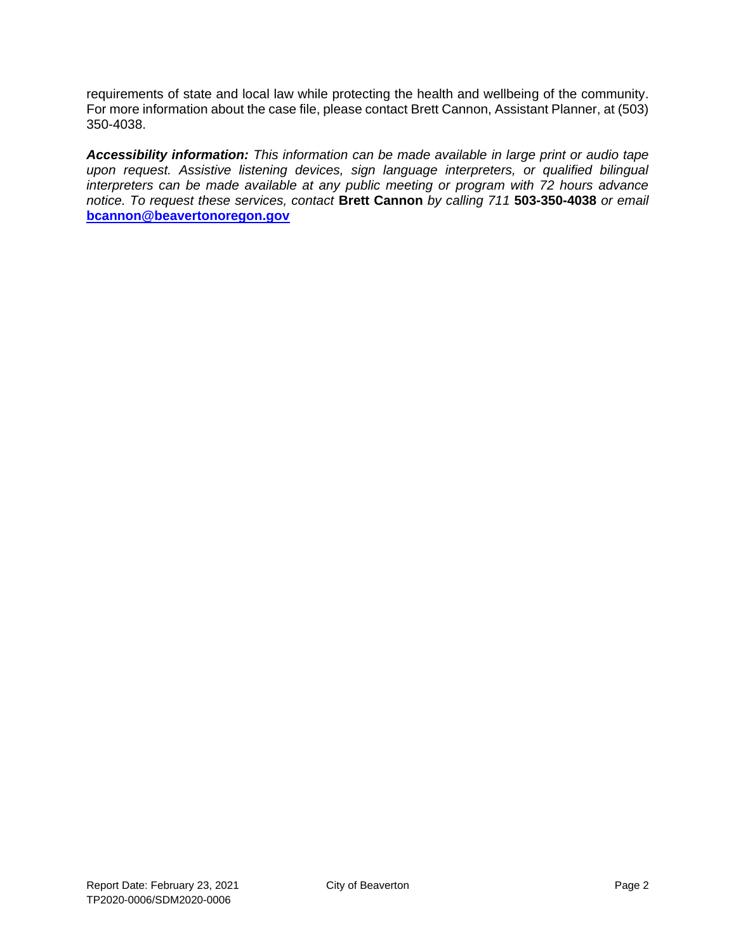requirements of state and local law while protecting the health and wellbeing of the community. For more information about the case file, please contact Brett Cannon, Assistant Planner, at (503) 350-4038.

*Accessibility information: This information can be made available in large print or audio tape upon request. Assistive listening devices, sign language interpreters, or qualified bilingual interpreters can be made available at any public meeting or program with 72 hours advance notice. To request these services, contact* **Brett Cannon** *by calling 711* **503-350-4038** *or email* **[bcannon@beavertonoregon.gov](mailto:bcannon@beavertonoregon.gov)**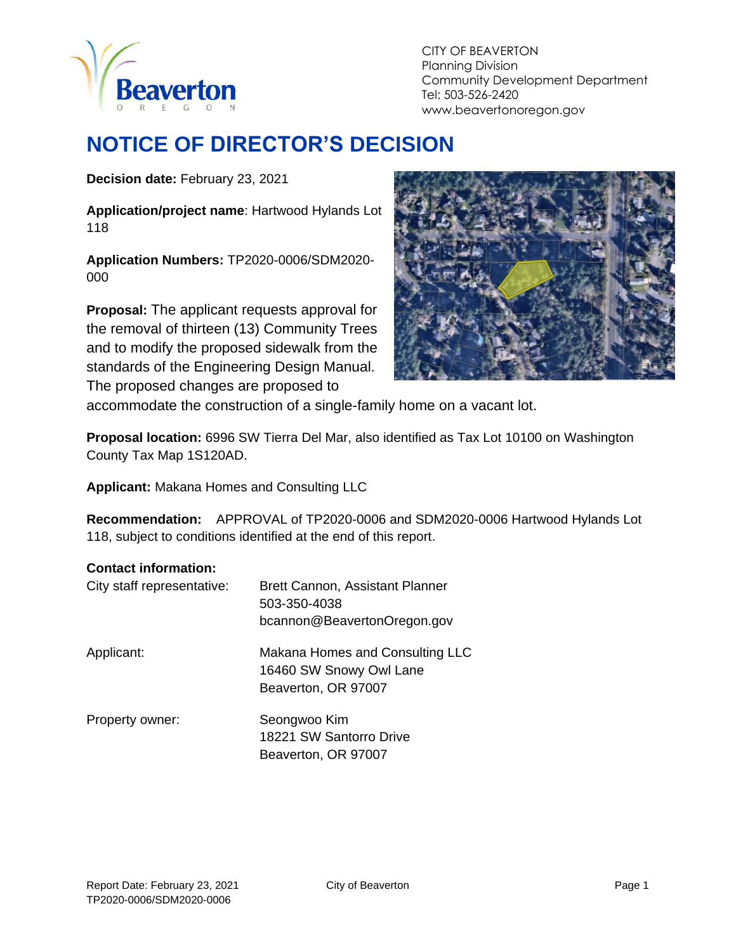

# **NOTICE OF DIRECTOR'S DECISION**

**Decision date:** February 23, 2021

**Application/project name**: Hartwood Hylands Lot 118

**Application Numbers:** TP2020-0006/SDM2020- 000

**Proposal:** The applicant requests approval for the removal of thirteen (13) Community Trees and to modify the proposed sidewalk from the standards of the Engineering Design Manual. The proposed changes are proposed to



accommodate the construction of a single-family home on a vacant lot.

**Proposal location:** 6996 SW Tierra Del Mar, also identified as Tax Lot 10100 on Washington County Tax Map 1S120AD.

**Applicant:** Makana Homes and Consulting LLC

**Recommendation:** APPROVAL of TP2020-0006 and SDM2020-0006 Hartwood Hylands Lot 118, subject to conditions identified at the end of this report.

#### **Contact information:**

| City staff representative: | <b>Brett Cannon, Assistant Planner</b><br>503-350-4038<br>bcannon@BeavertonOregon.gov |
|----------------------------|---------------------------------------------------------------------------------------|
| Applicant:                 | Makana Homes and Consulting LLC<br>16460 SW Snowy Owl Lane<br>Beaverton, OR 97007     |
| Property owner:            | Seongwoo Kim<br>18221 SW Santorro Drive<br>Beaverton, OR 97007                        |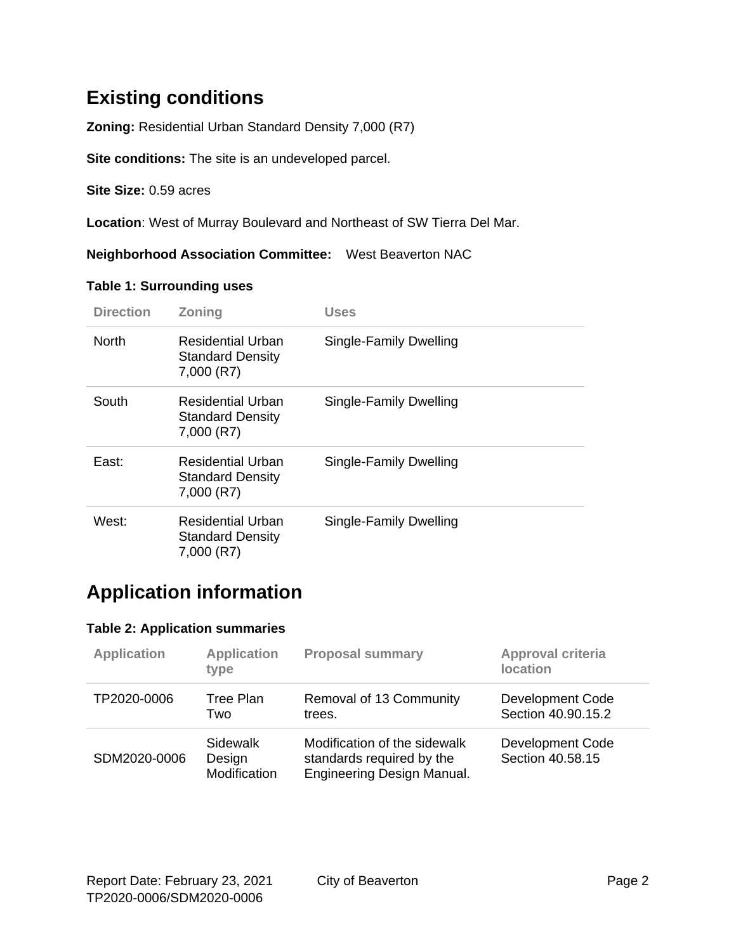### **Existing conditions**

**Zoning:** Residential Urban Standard Density 7,000 (R7)

**Site conditions:** The site is an undeveloped parcel.

**Site Size:** 0.59 acres

**Location**: West of Murray Boulevard and Northeast of SW Tierra Del Mar.

**Neighborhood Association Committee:** West Beaverton NAC

#### **Table 1: Surrounding uses**

| <b>Direction</b> | <b>Zoning</b>                                              | Uses                   |
|------------------|------------------------------------------------------------|------------------------|
| <b>North</b>     | Residential Urban<br><b>Standard Density</b><br>7,000 (R7) | Single-Family Dwelling |
| South            | Residential Urban<br><b>Standard Density</b><br>7,000 (R7) | Single-Family Dwelling |
| East:            | Residential Urban<br><b>Standard Density</b><br>7,000 (R7) | Single-Family Dwelling |
| West:            | Residential Urban<br><b>Standard Density</b><br>7,000 (R7) | Single-Family Dwelling |

### **Application information**

#### **Table 2: Application summaries**

| <b>Application</b> | <b>Application</b><br>type         | <b>Proposal summary</b>                                                                 | Approval criteria<br><b>location</b>   |
|--------------------|------------------------------------|-----------------------------------------------------------------------------------------|----------------------------------------|
| TP2020-0006        | Tree Plan<br>Two                   | Removal of 13 Community<br>trees.                                                       | Development Code<br>Section 40.90.15.2 |
| SDM2020-0006       | Sidewalk<br>Design<br>Modification | Modification of the sidewalk<br>standards required by the<br>Engineering Design Manual. | Development Code<br>Section 40.58.15   |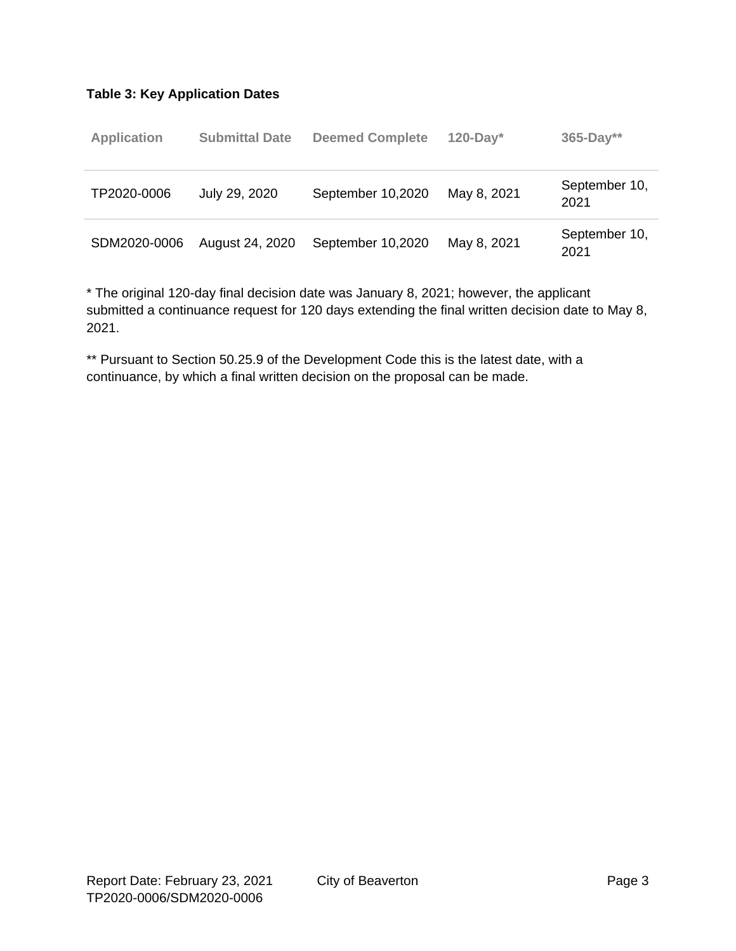#### **Table 3: Key Application Dates**

| <b>Application</b> | <b>Submittal Date</b> | <b>Deemed Complete</b> | $120$ -Day* | $365 - Day**$         |
|--------------------|-----------------------|------------------------|-------------|-----------------------|
| TP2020-0006        | July 29, 2020         | September 10,2020      | May 8, 2021 | September 10,<br>2021 |
| SDM2020-0006       | August 24, 2020       | September 10,2020      | May 8, 2021 | September 10,<br>2021 |

\* The original 120-day final decision date was January 8, 2021; however, the applicant submitted a continuance request for 120 days extending the final written decision date to May 8, 2021.

\*\* Pursuant to Section 50.25.9 of the Development Code this is the latest date, with a continuance, by which a final written decision on the proposal can be made.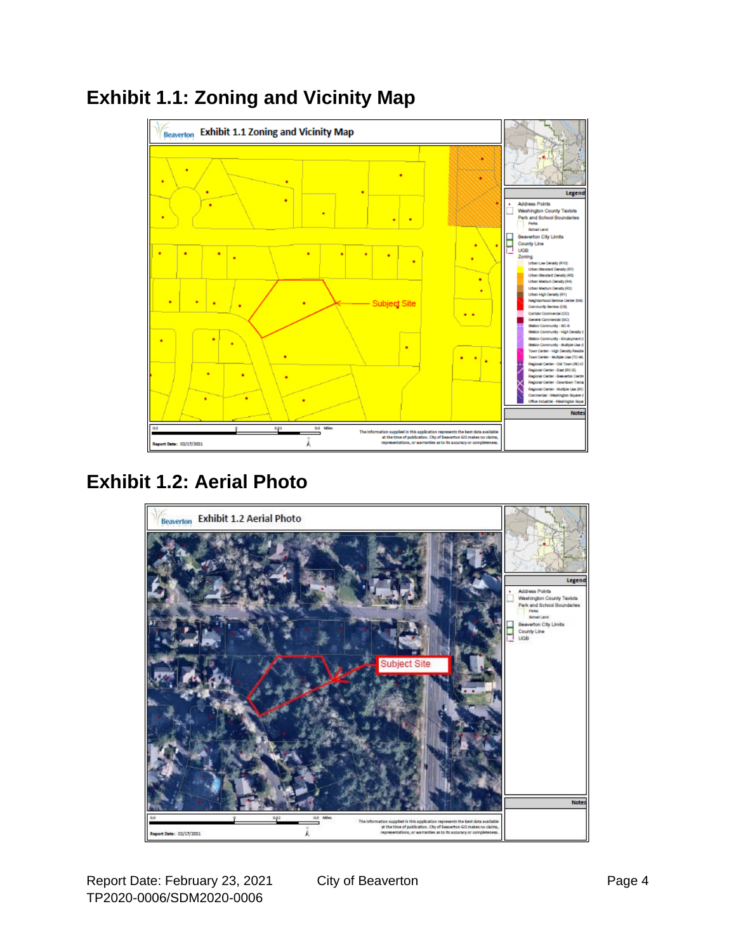

## **Exhibit 1.1: Zoning and Vicinity Map**

## **Exhibit 1.2: Aerial Photo**

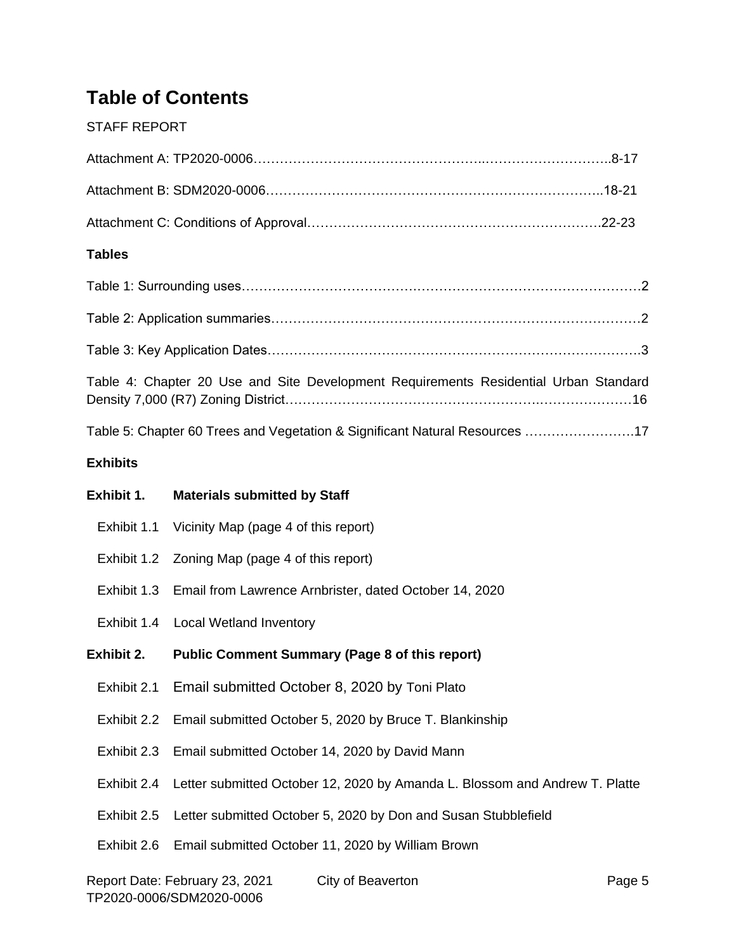## **Table of Contents**

#### STAFF REPORT

| <b>Tables</b>   |                                                                                      |
|-----------------|--------------------------------------------------------------------------------------|
|                 |                                                                                      |
|                 |                                                                                      |
|                 | Table 3: Key Application Dates…………………………………………………………………………3                          |
|                 | Table 4: Chapter 20 Use and Site Development Requirements Residential Urban Standard |
|                 | Table 5: Chapter 60 Trees and Vegetation & Significant Natural Resources 17          |
| <b>Exhibits</b> |                                                                                      |
| Exhibit 1.      | <b>Materials submitted by Staff</b>                                                  |
|                 | Exhibit 1.1 Vicinity Map (page 4 of this report)                                     |
| Exhibit 1.2     | Zoning Map (page 4 of this report)                                                   |
|                 | Exhibit 1.3 Email from Lawrence Arnbrister, dated October 14, 2020                   |
|                 | Exhibit 1.4 Local Wetland Inventory                                                  |
| Exhibit 2.      | <b>Public Comment Summary (Page 8 of this report)</b>                                |
|                 | Exhibit 2.1 Email submitted October 8, 2020 by Toni Plato                            |
| Exhibit 2.2     | Email submitted October 5, 2020 by Bruce T. Blankinship                              |
| Exhibit 2.3     | Email submitted October 14, 2020 by David Mann                                       |
| Exhibit 2.4     | Letter submitted October 12, 2020 by Amanda L. Blossom and Andrew T. Platte          |
| Exhibit 2.5     | Letter submitted October 5, 2020 by Don and Susan Stubblefield                       |
| Exhibit 2.6     | Email submitted October 11, 2020 by William Brown                                    |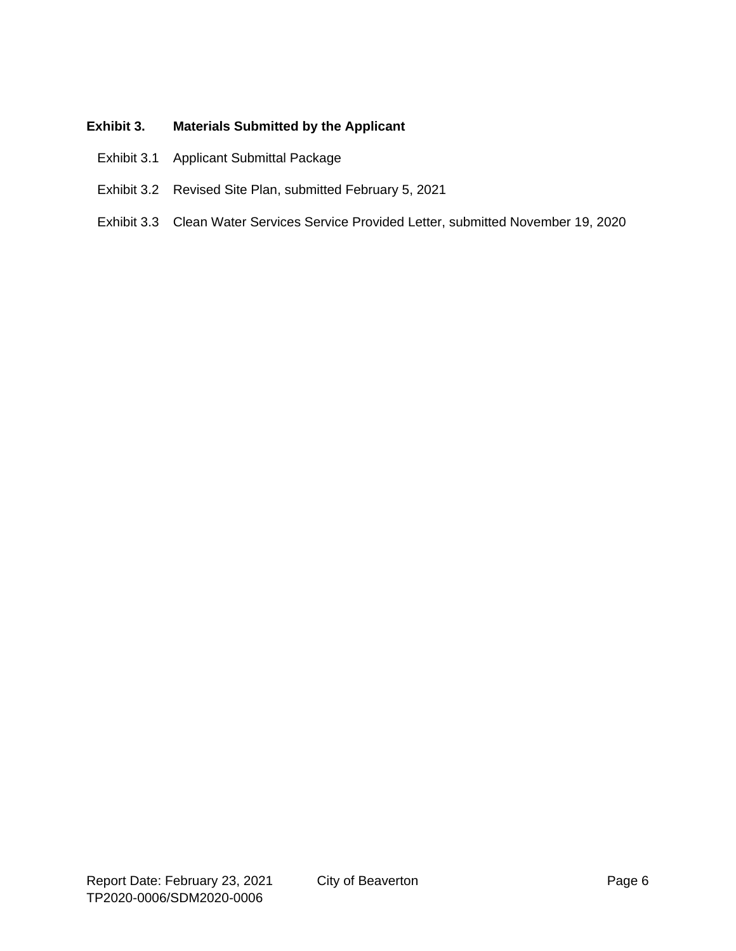#### **Exhibit 3. Materials Submitted by the Applicant**

- Exhibit 3.1 Applicant Submittal Package
- Exhibit 3.2 Revised Site Plan, submitted February 5, 2021
- Exhibit 3.3 Clean Water Services Service Provided Letter, submitted November 19, 2020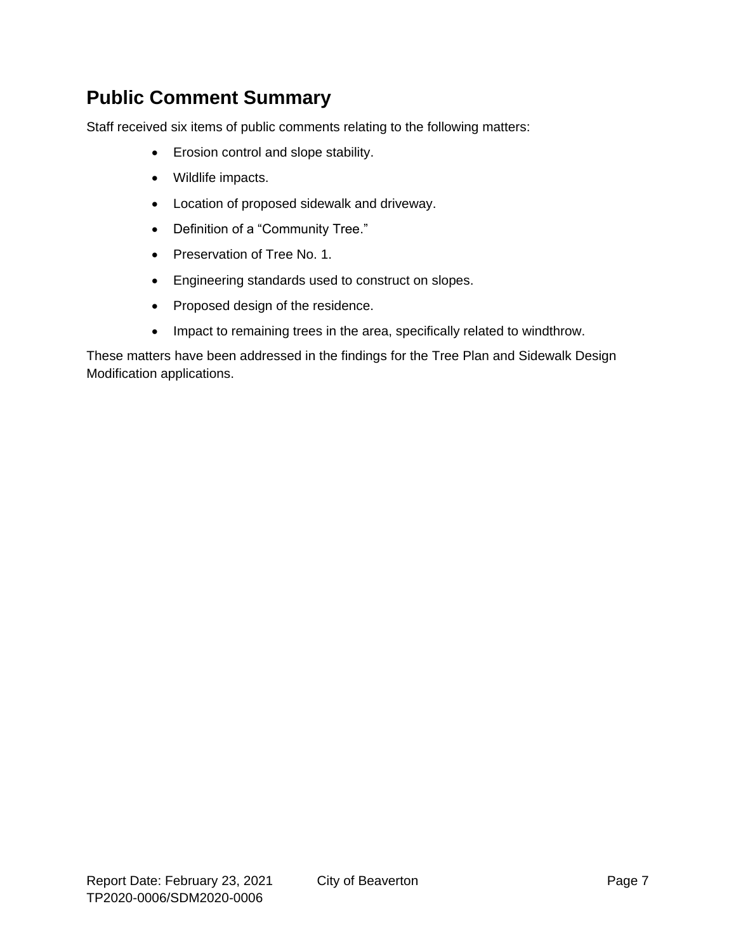### **Public Comment Summary**

Staff received six items of public comments relating to the following matters:

- Erosion control and slope stability.
- Wildlife impacts.
- Location of proposed sidewalk and driveway.
- Definition of a "Community Tree."
- Preservation of Tree No. 1.
- Engineering standards used to construct on slopes.
- Proposed design of the residence.
- Impact to remaining trees in the area, specifically related to windthrow.

These matters have been addressed in the findings for the Tree Plan and Sidewalk Design Modification applications.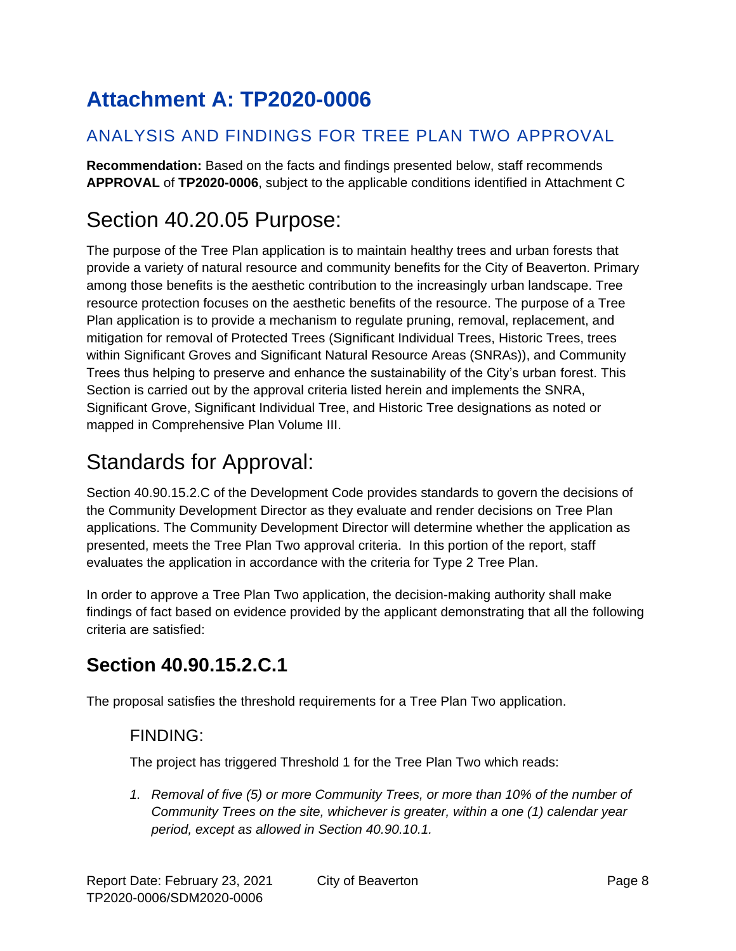# **Attachment A: TP2020-0006**

### ANALYSIS AND FINDINGS FOR TREE PLAN TWO APPROVAL

**Recommendation:** Based on the facts and findings presented below, staff recommends **APPROVAL** of **TP2020-0006**, subject to the applicable conditions identified in Attachment C

# Section 40.20.05 Purpose:

The purpose of the Tree Plan application is to maintain healthy trees and urban forests that provide a variety of natural resource and community benefits for the City of Beaverton. Primary among those benefits is the aesthetic contribution to the increasingly urban landscape. Tree resource protection focuses on the aesthetic benefits of the resource. The purpose of a Tree Plan application is to provide a mechanism to regulate pruning, removal, replacement, and mitigation for removal of Protected Trees (Significant Individual Trees, Historic Trees, trees within Significant Groves and Significant Natural Resource Areas (SNRAs)), and Community Trees thus helping to preserve and enhance the sustainability of the City's urban forest. This Section is carried out by the approval criteria listed herein and implements the SNRA, Significant Grove, Significant Individual Tree, and Historic Tree designations as noted or mapped in Comprehensive Plan Volume III.

# Standards for Approval:

Section 40.90.15.2.C of the Development Code provides standards to govern the decisions of the Community Development Director as they evaluate and render decisions on Tree Plan applications. The Community Development Director will determine whether the application as presented, meets the Tree Plan Two approval criteria. In this portion of the report, staff evaluates the application in accordance with the criteria for Type 2 Tree Plan.

In order to approve a Tree Plan Two application, the decision-making authority shall make findings of fact based on evidence provided by the applicant demonstrating that all the following criteria are satisfied:

## **Section 40.90.15.2.C.1**

The proposal satisfies the threshold requirements for a Tree Plan Two application.

#### FINDING:

The project has triggered Threshold 1 for the Tree Plan Two which reads:

1. Removal of five (5) or more Community Trees, or more than 10% of the number of *Community Trees on the site, whichever is greater, within a one (1) calendar year period, except as allowed in Section 40.90.10.1.*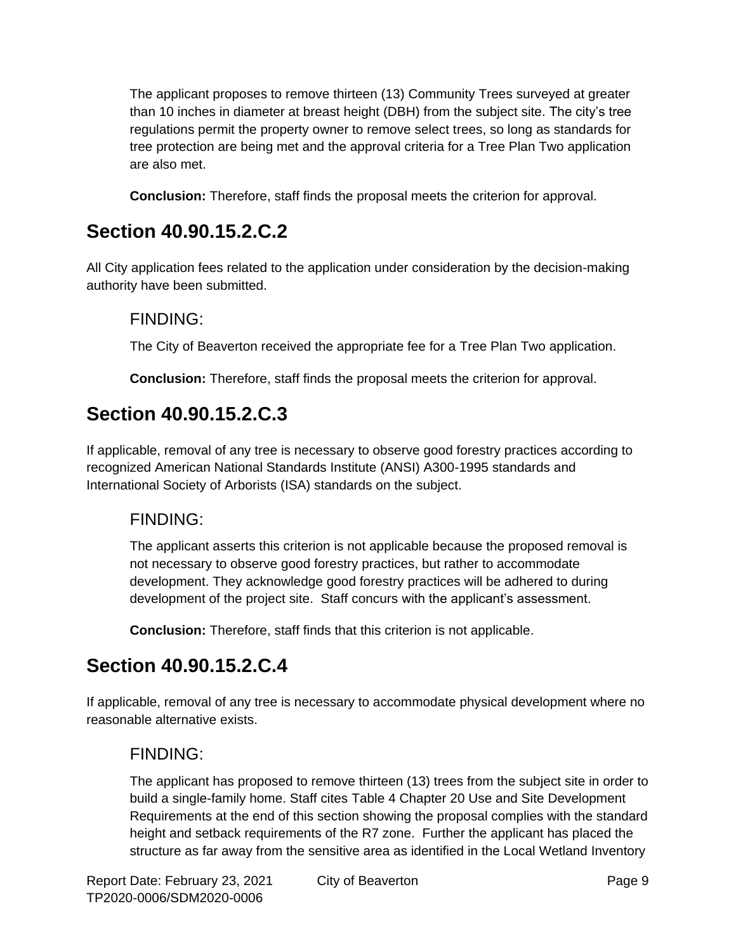The applicant proposes to remove thirteen (13) Community Trees surveyed at greater than 10 inches in diameter at breast height (DBH) from the subject site. The city's tree regulations permit the property owner to remove select trees, so long as standards for tree protection are being met and the approval criteria for a Tree Plan Two application are also met.

**Conclusion:** Therefore, staff finds the proposal meets the criterion for approval.

## **Section 40.90.15.2.C.2**

All City application fees related to the application under consideration by the decision-making authority have been submitted.

### FINDING:

The City of Beaverton received the appropriate fee for a Tree Plan Two application.

**Conclusion:** Therefore, staff finds the proposal meets the criterion for approval.

## **Section 40.90.15.2.C.3**

If applicable, removal of any tree is necessary to observe good forestry practices according to recognized American National Standards Institute (ANSI) A300-1995 standards and International Society of Arborists (ISA) standards on the subject.

### FINDING:

The applicant asserts this criterion is not applicable because the proposed removal is not necessary to observe good forestry practices, but rather to accommodate development. They acknowledge good forestry practices will be adhered to during development of the project site. Staff concurs with the applicant's assessment.

**Conclusion:** Therefore, staff finds that this criterion is not applicable.

## **Section 40.90.15.2.C.4**

If applicable, removal of any tree is necessary to accommodate physical development where no reasonable alternative exists.

### FINDING:

The applicant has proposed to remove thirteen (13) trees from the subject site in order to build a single-family home. Staff cites Table 4 Chapter 20 Use and Site Development Requirements at the end of this section showing the proposal complies with the standard height and setback requirements of the R7 zone. Further the applicant has placed the structure as far away from the sensitive area as identified in the Local Wetland Inventory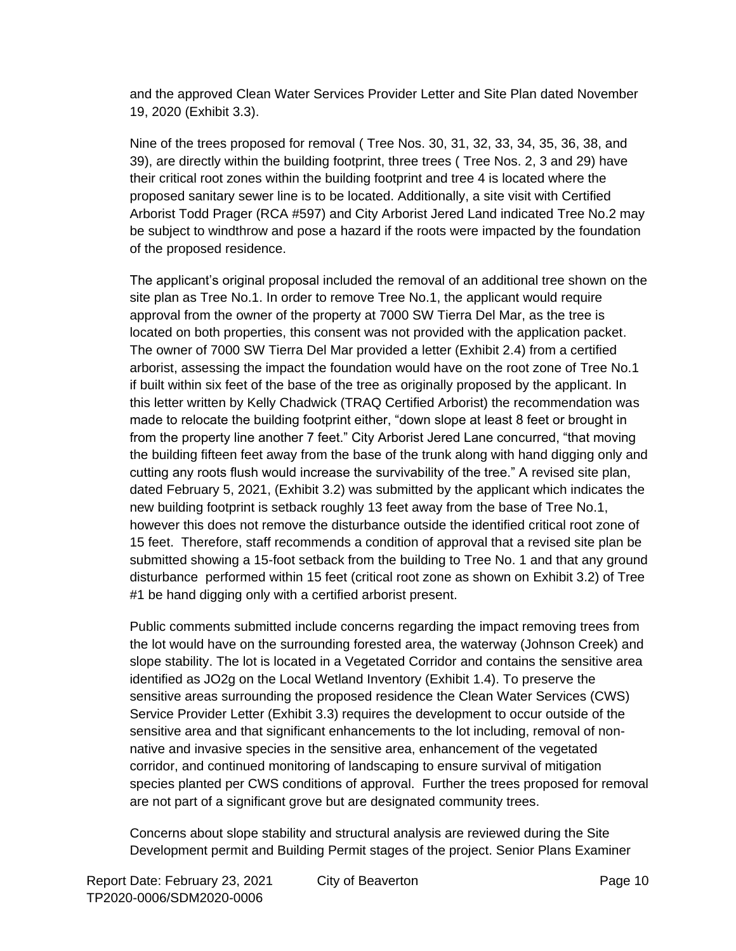and the approved Clean Water Services Provider Letter and Site Plan dated November 19, 2020 (Exhibit 3.3).

Nine of the trees proposed for removal ( Tree Nos. 30, 31, 32, 33, 34, 35, 36, 38, and 39), are directly within the building footprint, three trees ( Tree Nos. 2, 3 and 29) have their critical root zones within the building footprint and tree 4 is located where the proposed sanitary sewer line is to be located. Additionally, a site visit with Certified Arborist Todd Prager (RCA #597) and City Arborist Jered Land indicated Tree No.2 may be subject to windthrow and pose a hazard if the roots were impacted by the foundation of the proposed residence.

The applicant's original proposal included the removal of an additional tree shown on the site plan as Tree No.1. In order to remove Tree No.1, the applicant would require approval from the owner of the property at 7000 SW Tierra Del Mar, as the tree is located on both properties, this consent was not provided with the application packet. The owner of 7000 SW Tierra Del Mar provided a letter (Exhibit 2.4) from a certified arborist, assessing the impact the foundation would have on the root zone of Tree No.1 if built within six feet of the base of the tree as originally proposed by the applicant. In this letter written by Kelly Chadwick (TRAQ Certified Arborist) the recommendation was made to relocate the building footprint either, "down slope at least 8 feet or brought in from the property line another 7 feet." City Arborist Jered Lane concurred, "that moving the building fifteen feet away from the base of the trunk along with hand digging only and cutting any roots flush would increase the survivability of the tree." A revised site plan, dated February 5, 2021, (Exhibit 3.2) was submitted by the applicant which indicates the new building footprint is setback roughly 13 feet away from the base of Tree No.1, however this does not remove the disturbance outside the identified critical root zone of 15 feet. Therefore, staff recommends a condition of approval that a revised site plan be submitted showing a 15-foot setback from the building to Tree No. 1 and that any ground disturbance performed within 15 feet (critical root zone as shown on Exhibit 3.2) of Tree #1 be hand digging only with a certified arborist present.

Public comments submitted include concerns regarding the impact removing trees from the lot would have on the surrounding forested area, the waterway (Johnson Creek) and slope stability. The lot is located in a Vegetated Corridor and contains the sensitive area identified as JO2g on the Local Wetland Inventory (Exhibit 1.4). To preserve the sensitive areas surrounding the proposed residence the Clean Water Services (CWS) Service Provider Letter (Exhibit 3.3) requires the development to occur outside of the sensitive area and that significant enhancements to the lot including, removal of nonnative and invasive species in the sensitive area, enhancement of the vegetated corridor, and continued monitoring of landscaping to ensure survival of mitigation species planted per CWS conditions of approval. Further the trees proposed for removal are not part of a significant grove but are designated community trees.

Concerns about slope stability and structural analysis are reviewed during the Site Development permit and Building Permit stages of the project. Senior Plans Examiner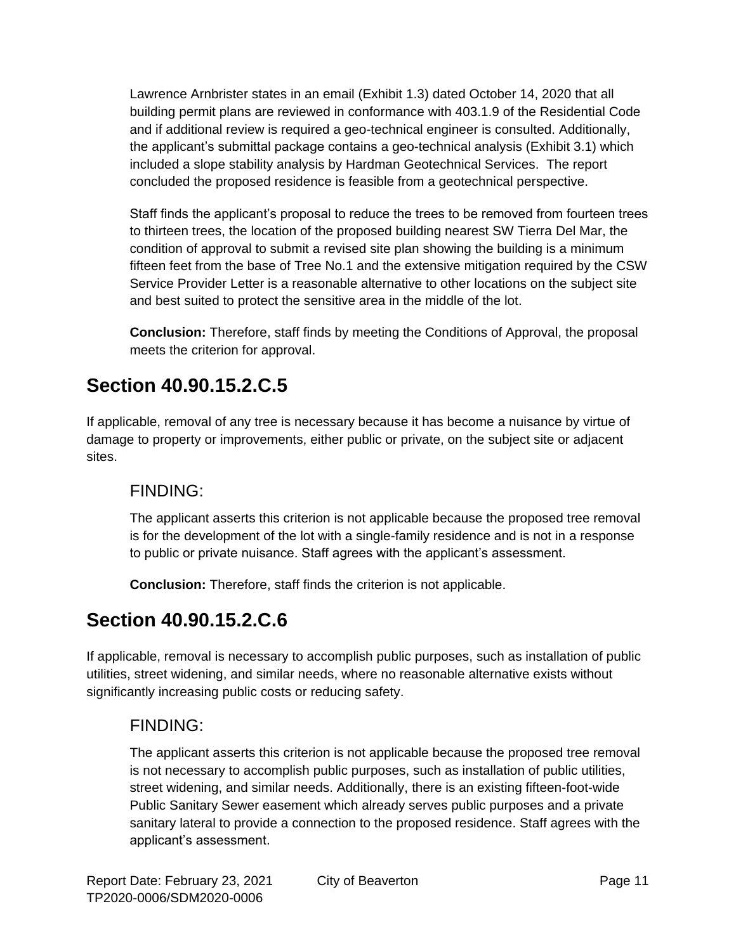Lawrence Arnbrister states in an email (Exhibit 1.3) dated October 14, 2020 that all building permit plans are reviewed in conformance with 403.1.9 of the Residential Code and if additional review is required a geo-technical engineer is consulted. Additionally, the applicant's submittal package contains a geo-technical analysis (Exhibit 3.1) which included a slope stability analysis by Hardman Geotechnical Services. The report concluded the proposed residence is feasible from a geotechnical perspective.

Staff finds the applicant's proposal to reduce the trees to be removed from fourteen trees to thirteen trees, the location of the proposed building nearest SW Tierra Del Mar, the condition of approval to submit a revised site plan showing the building is a minimum fifteen feet from the base of Tree No.1 and the extensive mitigation required by the CSW Service Provider Letter is a reasonable alternative to other locations on the subject site and best suited to protect the sensitive area in the middle of the lot.

**Conclusion:** Therefore, staff finds by meeting the Conditions of Approval, the proposal meets the criterion for approval.

## **Section 40.90.15.2.C.5**

If applicable, removal of any tree is necessary because it has become a nuisance by virtue of damage to property or improvements, either public or private, on the subject site or adjacent sites.

### FINDING:

The applicant asserts this criterion is not applicable because the proposed tree removal is for the development of the lot with a single-family residence and is not in a response to public or private nuisance. Staff agrees with the applicant's assessment.

**Conclusion:** Therefore, staff finds the criterion is not applicable.

### **Section 40.90.15.2.C.6**

If applicable, removal is necessary to accomplish public purposes, such as installation of public utilities, street widening, and similar needs, where no reasonable alternative exists without significantly increasing public costs or reducing safety.

### FINDING:

The applicant asserts this criterion is not applicable because the proposed tree removal is not necessary to accomplish public purposes, such as installation of public utilities, street widening, and similar needs. Additionally, there is an existing fifteen-foot-wide Public Sanitary Sewer easement which already serves public purposes and a private sanitary lateral to provide a connection to the proposed residence. Staff agrees with the applicant's assessment.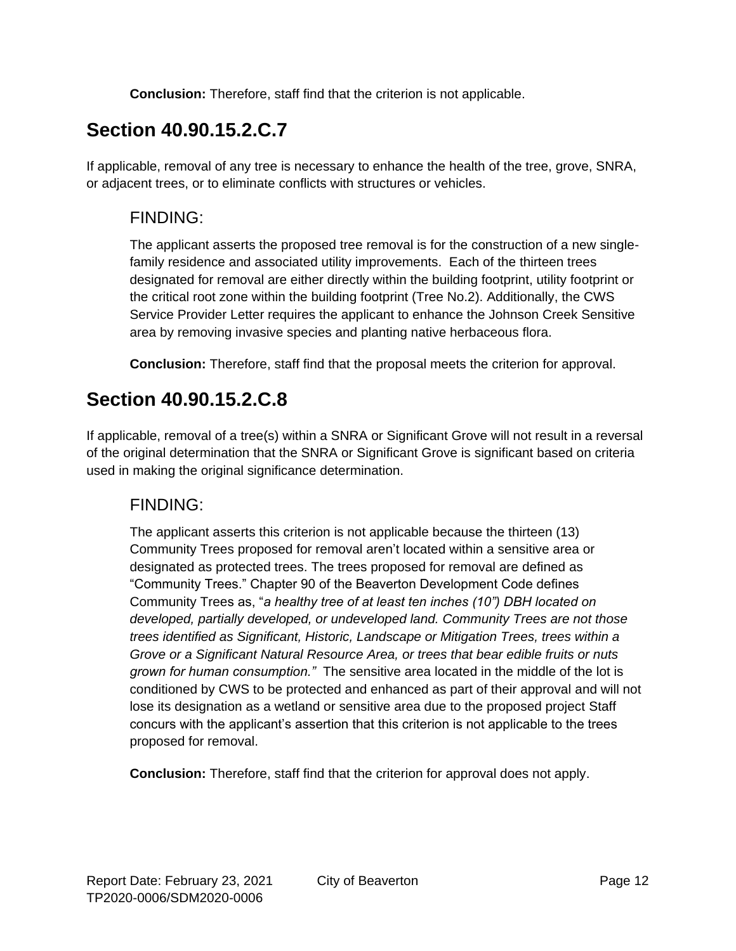**Conclusion:** Therefore, staff find that the criterion is not applicable.

## **Section 40.90.15.2.C.7**

If applicable, removal of any tree is necessary to enhance the health of the tree, grove, SNRA, or adjacent trees, or to eliminate conflicts with structures or vehicles.

### FINDING:

The applicant asserts the proposed tree removal is for the construction of a new singlefamily residence and associated utility improvements. Each of the thirteen trees designated for removal are either directly within the building footprint, utility footprint or the critical root zone within the building footprint (Tree No.2). Additionally, the CWS Service Provider Letter requires the applicant to enhance the Johnson Creek Sensitive area by removing invasive species and planting native herbaceous flora.

**Conclusion:** Therefore, staff find that the proposal meets the criterion for approval.

### **Section 40.90.15.2.C.8**

If applicable, removal of a tree(s) within a SNRA or Significant Grove will not result in a reversal of the original determination that the SNRA or Significant Grove is significant based on criteria used in making the original significance determination.

### FINDING:

The applicant asserts this criterion is not applicable because the thirteen (13) Community Trees proposed for removal aren't located within a sensitive area or designated as protected trees. The trees proposed for removal are defined as "Community Trees." Chapter 90 of the Beaverton Development Code defines Community Trees as, "*a healthy tree of at least ten inches (10") DBH located on developed, partially developed, or undeveloped land. Community Trees are not those trees identified as Significant, Historic, Landscape or Mitigation Trees, trees within a Grove or a Significant Natural Resource Area, or trees that bear edible fruits or nuts grown for human consumption."* The sensitive area located in the middle of the lot is conditioned by CWS to be protected and enhanced as part of their approval and will not lose its designation as a wetland or sensitive area due to the proposed project Staff concurs with the applicant's assertion that this criterion is not applicable to the trees proposed for removal.

**Conclusion:** Therefore, staff find that the criterion for approval does not apply.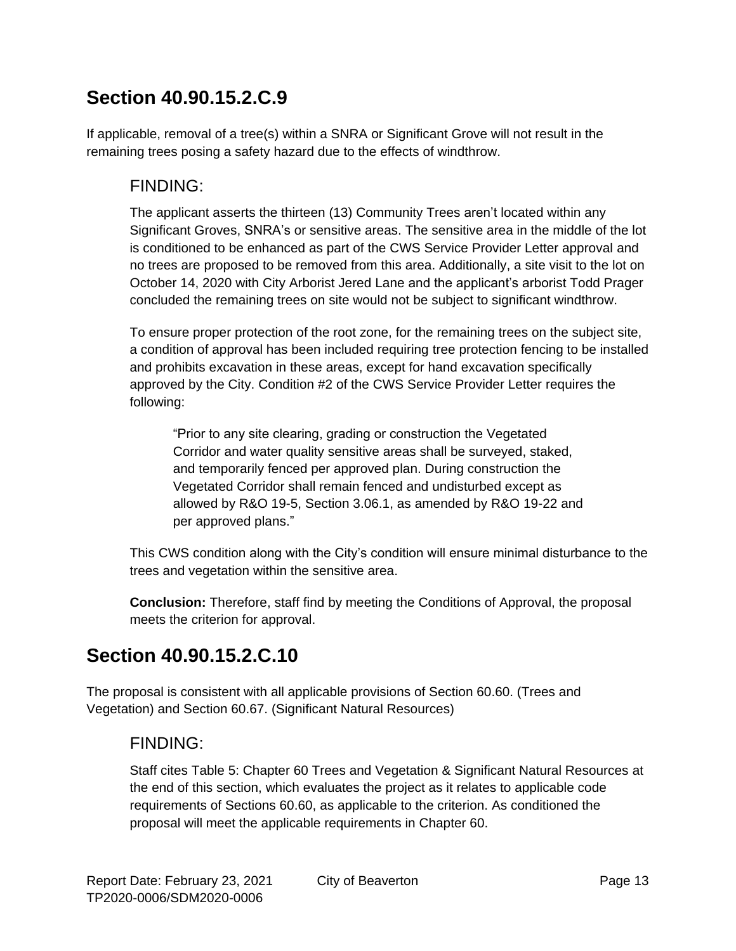### **Section 40.90.15.2.C.9**

If applicable, removal of a tree(s) within a SNRA or Significant Grove will not result in the remaining trees posing a safety hazard due to the effects of windthrow.

#### FINDING:

The applicant asserts the thirteen (13) Community Trees aren't located within any Significant Groves, SNRA's or sensitive areas. The sensitive area in the middle of the lot is conditioned to be enhanced as part of the CWS Service Provider Letter approval and no trees are proposed to be removed from this area. Additionally, a site visit to the lot on October 14, 2020 with City Arborist Jered Lane and the applicant's arborist Todd Prager concluded the remaining trees on site would not be subject to significant windthrow.

To ensure proper protection of the root zone, for the remaining trees on the subject site, a condition of approval has been included requiring tree protection fencing to be installed and prohibits excavation in these areas, except for hand excavation specifically approved by the City. Condition #2 of the CWS Service Provider Letter requires the following:

"Prior to any site clearing, grading or construction the Vegetated Corridor and water quality sensitive areas shall be surveyed, staked, and temporarily fenced per approved plan. During construction the Vegetated Corridor shall remain fenced and undisturbed except as allowed by R&O 19-5, Section 3.06.1, as amended by R&O 19-22 and per approved plans."

This CWS condition along with the City's condition will ensure minimal disturbance to the trees and vegetation within the sensitive area.

**Conclusion:** Therefore, staff find by meeting the Conditions of Approval, the proposal meets the criterion for approval.

### **Section 40.90.15.2.C.10**

The proposal is consistent with all applicable provisions of Section 60.60. (Trees and Vegetation) and Section 60.67. (Significant Natural Resources)

### FINDING:

Staff cites Table 5: Chapter 60 Trees and Vegetation & Significant Natural Resources at the end of this section, which evaluates the project as it relates to applicable code requirements of Sections 60.60, as applicable to the criterion. As conditioned the proposal will meet the applicable requirements in Chapter 60.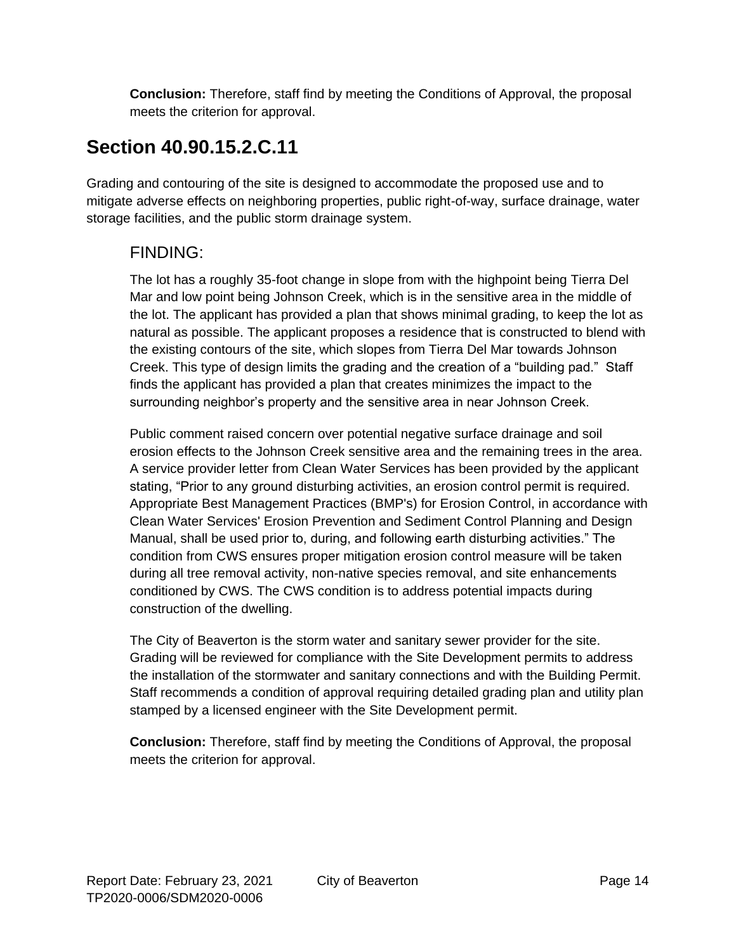**Conclusion:** Therefore, staff find by meeting the Conditions of Approval, the proposal meets the criterion for approval.

### **Section 40.90.15.2.C.11**

Grading and contouring of the site is designed to accommodate the proposed use and to mitigate adverse effects on neighboring properties, public right-of-way, surface drainage, water storage facilities, and the public storm drainage system.

### FINDING:

The lot has a roughly 35-foot change in slope from with the highpoint being Tierra Del Mar and low point being Johnson Creek, which is in the sensitive area in the middle of the lot. The applicant has provided a plan that shows minimal grading, to keep the lot as natural as possible. The applicant proposes a residence that is constructed to blend with the existing contours of the site, which slopes from Tierra Del Mar towards Johnson Creek. This type of design limits the grading and the creation of a "building pad." Staff finds the applicant has provided a plan that creates minimizes the impact to the surrounding neighbor's property and the sensitive area in near Johnson Creek.

Public comment raised concern over potential negative surface drainage and soil erosion effects to the Johnson Creek sensitive area and the remaining trees in the area. A service provider letter from Clean Water Services has been provided by the applicant stating, "Prior to any ground disturbing activities, an erosion control permit is required. Appropriate Best Management Practices (BMP's) for Erosion Control, in accordance with Clean Water Services' Erosion Prevention and Sediment Control Planning and Design Manual, shall be used prior to, during, and following earth disturbing activities." The condition from CWS ensures proper mitigation erosion control measure will be taken during all tree removal activity, non-native species removal, and site enhancements conditioned by CWS. The CWS condition is to address potential impacts during construction of the dwelling.

The City of Beaverton is the storm water and sanitary sewer provider for the site. Grading will be reviewed for compliance with the Site Development permits to address the installation of the stormwater and sanitary connections and with the Building Permit. Staff recommends a condition of approval requiring detailed grading plan and utility plan stamped by a licensed engineer with the Site Development permit.

**Conclusion:** Therefore, staff find by meeting the Conditions of Approval, the proposal meets the criterion for approval.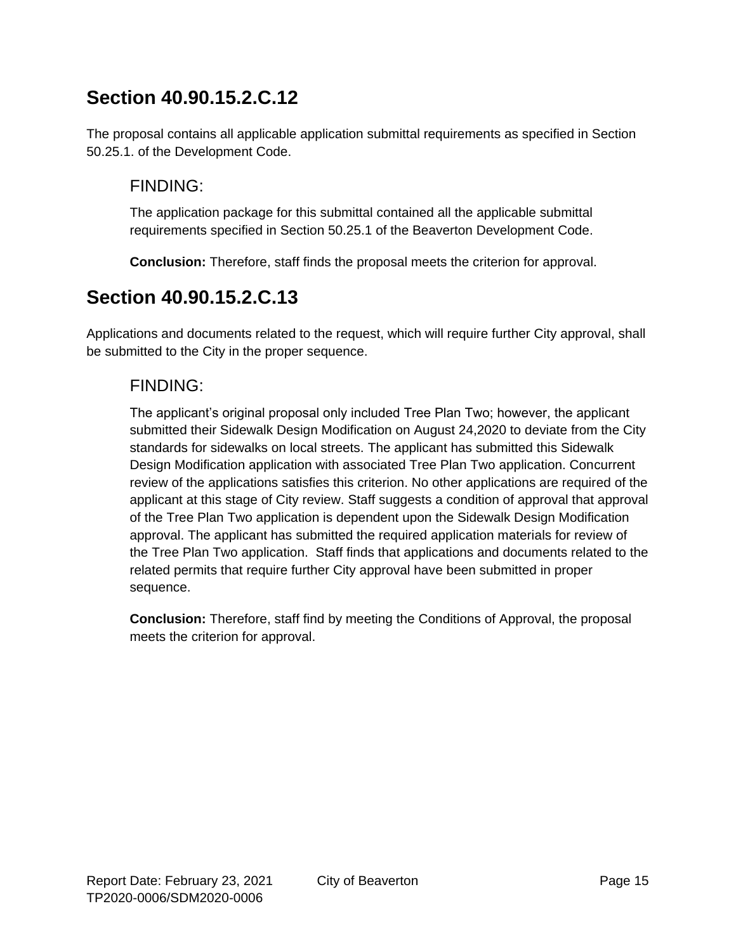### **Section 40.90.15.2.C.12**

The proposal contains all applicable application submittal requirements as specified in Section 50.25.1. of the Development Code.

### FINDING:

The application package for this submittal contained all the applicable submittal requirements specified in Section 50.25.1 of the Beaverton Development Code.

**Conclusion:** Therefore, staff finds the proposal meets the criterion for approval.

### **Section 40.90.15.2.C.13**

Applications and documents related to the request, which will require further City approval, shall be submitted to the City in the proper sequence.

### FINDING:

The applicant's original proposal only included Tree Plan Two; however, the applicant submitted their Sidewalk Design Modification on August 24,2020 to deviate from the City standards for sidewalks on local streets. The applicant has submitted this Sidewalk Design Modification application with associated Tree Plan Two application. Concurrent review of the applications satisfies this criterion. No other applications are required of the applicant at this stage of City review. Staff suggests a condition of approval that approval of the Tree Plan Two application is dependent upon the Sidewalk Design Modification approval. The applicant has submitted the required application materials for review of the Tree Plan Two application. Staff finds that applications and documents related to the related permits that require further City approval have been submitted in proper sequence.

**Conclusion:** Therefore, staff find by meeting the Conditions of Approval, the proposal meets the criterion for approval.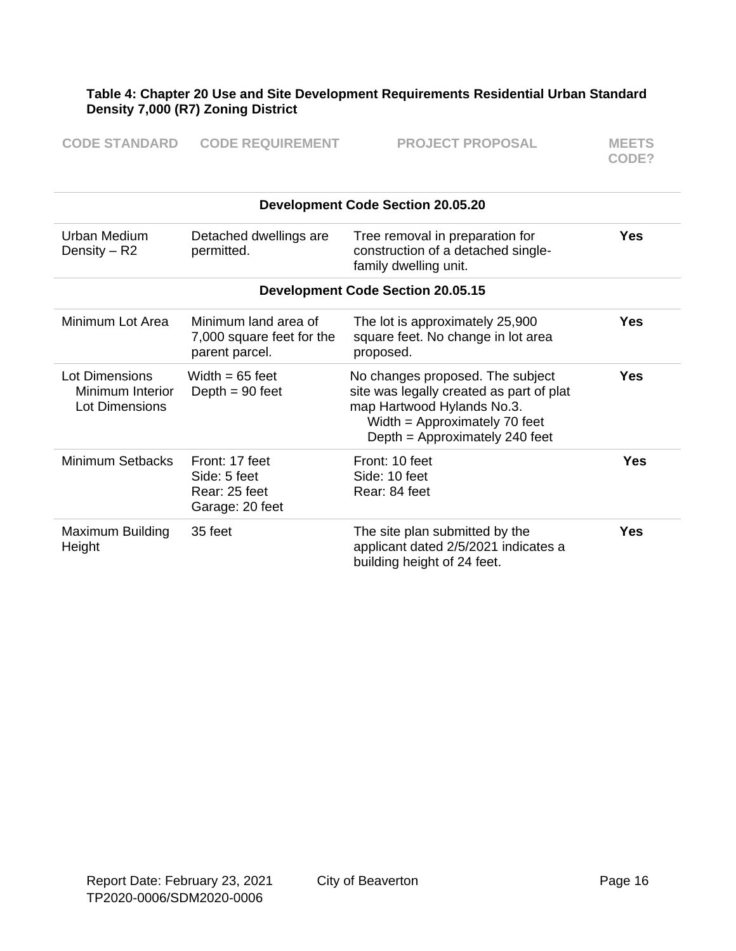#### **Table 4: Chapter 20 Use and Site Development Requirements Residential Urban Standard Density 7,000 (R7) Zoning District**

| <b>CODE STANDARD</b> | <b>CODE REQUIREMENT</b> | <b>PROJECT PROPOSAL</b> | <b>MEETS</b> |
|----------------------|-------------------------|-------------------------|--------------|
|                      |                         |                         | CODE?        |

| <b>Development Code Section 20.05.20</b>             |                                                                     |                                                                                                                                                                               |            |
|------------------------------------------------------|---------------------------------------------------------------------|-------------------------------------------------------------------------------------------------------------------------------------------------------------------------------|------------|
| Urban Medium<br>Density $-$ R2                       | Detached dwellings are<br>permitted.                                | Tree removal in preparation for<br>construction of a detached single-<br>family dwelling unit.                                                                                | <b>Yes</b> |
|                                                      |                                                                     | <b>Development Code Section 20.05.15</b>                                                                                                                                      |            |
| Minimum Lot Area                                     | Minimum land area of<br>7,000 square feet for the<br>parent parcel. | The lot is approximately 25,900<br>square feet. No change in lot area<br>proposed.                                                                                            | <b>Yes</b> |
| Lot Dimensions<br>Minimum Interior<br>Lot Dimensions | Width $= 65$ feet<br>Depth $= 90$ feet                              | No changes proposed. The subject<br>site was legally created as part of plat<br>map Hartwood Hylands No.3.<br>Width = Approximately 70 feet<br>Depth = Approximately 240 feet | <b>Yes</b> |
| Minimum Setbacks                                     | Front: 17 feet<br>Side: 5 feet<br>Rear: 25 feet<br>Garage: 20 feet  | Front: 10 feet<br>Side: 10 feet<br>Rear: 84 feet                                                                                                                              | <b>Yes</b> |
| Maximum Building<br>Height                           | 35 feet                                                             | The site plan submitted by the<br>applicant dated 2/5/2021 indicates a<br>building height of 24 feet.                                                                         | Yes        |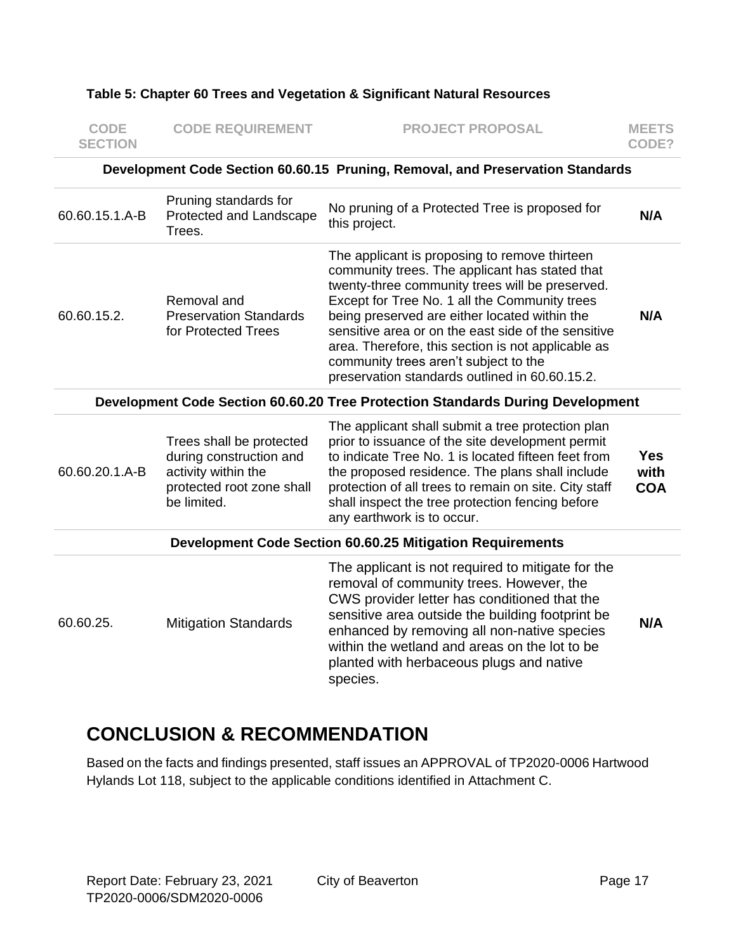#### **Table 5: Chapter 60 Trees and Vegetation & Significant Natural Resources**

| <b>CODE</b><br><b>SECTION</b>                                                  | <b>CODE REQUIREMENT</b>                                                                                                | <b>PROJECT PROPOSAL</b>                                                                                                                                                                                                                                                                                                                                                                                                                                      | <b>MEETS</b><br>CODE?            |
|--------------------------------------------------------------------------------|------------------------------------------------------------------------------------------------------------------------|--------------------------------------------------------------------------------------------------------------------------------------------------------------------------------------------------------------------------------------------------------------------------------------------------------------------------------------------------------------------------------------------------------------------------------------------------------------|----------------------------------|
| Development Code Section 60.60.15 Pruning, Removal, and Preservation Standards |                                                                                                                        |                                                                                                                                                                                                                                                                                                                                                                                                                                                              |                                  |
| 60.60.15.1.A-B                                                                 | Pruning standards for<br>Protected and Landscape<br>Trees.                                                             | No pruning of a Protected Tree is proposed for<br>this project.                                                                                                                                                                                                                                                                                                                                                                                              | N/A                              |
| 60.60.15.2.                                                                    | Removal and<br><b>Preservation Standards</b><br>for Protected Trees                                                    | The applicant is proposing to remove thirteen<br>community trees. The applicant has stated that<br>twenty-three community trees will be preserved.<br>Except for Tree No. 1 all the Community trees<br>being preserved are either located within the<br>sensitive area or on the east side of the sensitive<br>area. Therefore, this section is not applicable as<br>community trees aren't subject to the<br>preservation standards outlined in 60.60.15.2. | N/A                              |
|                                                                                |                                                                                                                        | Development Code Section 60.60.20 Tree Protection Standards During Development                                                                                                                                                                                                                                                                                                                                                                               |                                  |
| 60.60.20.1.A-B                                                                 | Trees shall be protected<br>during construction and<br>activity within the<br>protected root zone shall<br>be limited. | The applicant shall submit a tree protection plan<br>prior to issuance of the site development permit<br>to indicate Tree No. 1 is located fifteen feet from<br>the proposed residence. The plans shall include<br>protection of all trees to remain on site. City staff<br>shall inspect the tree protection fencing before<br>any earthwork is to occur.                                                                                                   | <b>Yes</b><br>with<br><b>COA</b> |
|                                                                                |                                                                                                                        | <b>Development Code Section 60.60.25 Mitigation Requirements</b>                                                                                                                                                                                                                                                                                                                                                                                             |                                  |
| 60.60.25.                                                                      | <b>Mitigation Standards</b>                                                                                            | The applicant is not required to mitigate for the<br>removal of community trees. However, the<br>CWS provider letter has conditioned that the<br>sensitive area outside the building footprint be<br>enhanced by removing all non-native species<br>within the wetland and areas on the lot to be<br>planted with herbaceous plugs and native<br>species.                                                                                                    | N/A                              |

### **CONCLUSION & RECOMMENDATION**

Based on the facts and findings presented, staff issues an APPROVAL of TP2020-0006 Hartwood Hylands Lot 118, subject to the applicable conditions identified in Attachment C.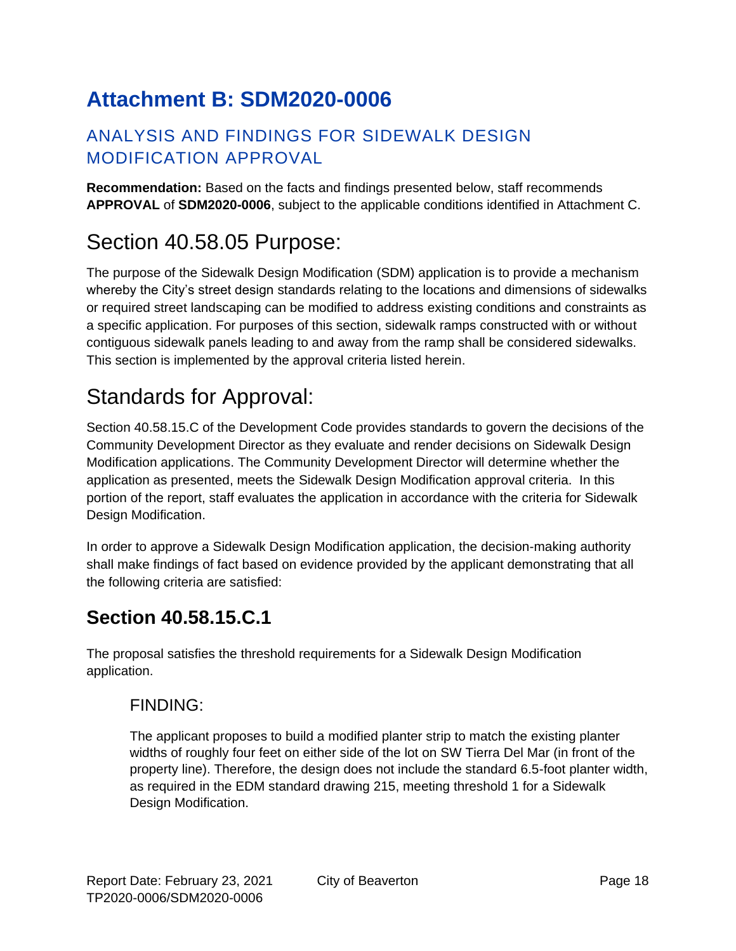# **Attachment B: SDM2020-0006**

### ANALYSIS AND FINDINGS FOR SIDEWALK DESIGN MODIFICATION APPROVAL

**Recommendation:** Based on the facts and findings presented below, staff recommends **APPROVAL** of **SDM2020-0006**, subject to the applicable conditions identified in Attachment C.

# Section 40.58.05 Purpose:

The purpose of the Sidewalk Design Modification (SDM) application is to provide a mechanism whereby the City's street design standards relating to the locations and dimensions of sidewalks or required street landscaping can be modified to address existing conditions and constraints as a specific application. For purposes of this section, sidewalk ramps constructed with or without contiguous sidewalk panels leading to and away from the ramp shall be considered sidewalks. This section is implemented by the approval criteria listed herein.

# Standards for Approval:

Section 40.58.15.C of the Development Code provides standards to govern the decisions of the Community Development Director as they evaluate and render decisions on Sidewalk Design Modification applications. The Community Development Director will determine whether the application as presented, meets the Sidewalk Design Modification approval criteria. In this portion of the report, staff evaluates the application in accordance with the criteria for Sidewalk Design Modification.

In order to approve a Sidewalk Design Modification application, the decision-making authority shall make findings of fact based on evidence provided by the applicant demonstrating that all the following criteria are satisfied:

### **Section 40.58.15.C.1**

The proposal satisfies the threshold requirements for a Sidewalk Design Modification application.

### FINDING:

The applicant proposes to build a modified planter strip to match the existing planter widths of roughly four feet on either side of the lot on SW Tierra Del Mar (in front of the property line). Therefore, the design does not include the standard 6.5-foot planter width, as required in the EDM standard drawing 215, meeting threshold 1 for a Sidewalk Design Modification.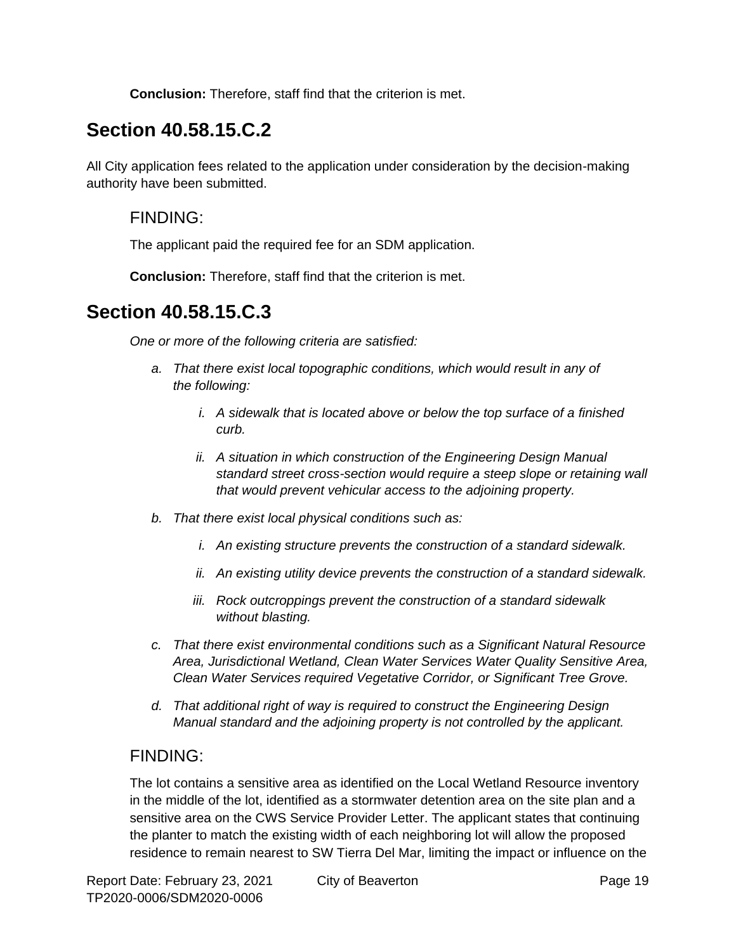**Conclusion:** Therefore, staff find that the criterion is met.

### **Section 40.58.15.C.2**

All City application fees related to the application under consideration by the decision-making authority have been submitted.

#### FINDING:

The applicant paid the required fee for an SDM application.

**Conclusion:** Therefore, staff find that the criterion is met.

### **Section 40.58.15.C.3**

*One or more of the following criteria are satisfied:*

- *a. That there exist local topographic conditions, which would result in any of the following:*
	- *i. A sidewalk that is located above or below the top surface of a finished curb.*
	- *ii. A situation in which construction of the Engineering Design Manual standard street cross-section would require a steep slope or retaining wall that would prevent vehicular access to the adjoining property.*
- *b. That there exist local physical conditions such as:*
	- *i. An existing structure prevents the construction of a standard sidewalk.*
	- *ii. An existing utility device prevents the construction of a standard sidewalk.*
	- *iii. Rock outcroppings prevent the construction of a standard sidewalk without blasting.*
- *c. That there exist environmental conditions such as a Significant Natural Resource Area, Jurisdictional Wetland, Clean Water Services Water Quality Sensitive Area, Clean Water Services required Vegetative Corridor, or Significant Tree Grove.*
- *d. That additional right of way is required to construct the Engineering Design Manual standard and the adjoining property is not controlled by the applicant.*

#### FINDING:

The lot contains a sensitive area as identified on the Local Wetland Resource inventory in the middle of the lot, identified as a stormwater detention area on the site plan and a sensitive area on the CWS Service Provider Letter. The applicant states that continuing the planter to match the existing width of each neighboring lot will allow the proposed residence to remain nearest to SW Tierra Del Mar, limiting the impact or influence on the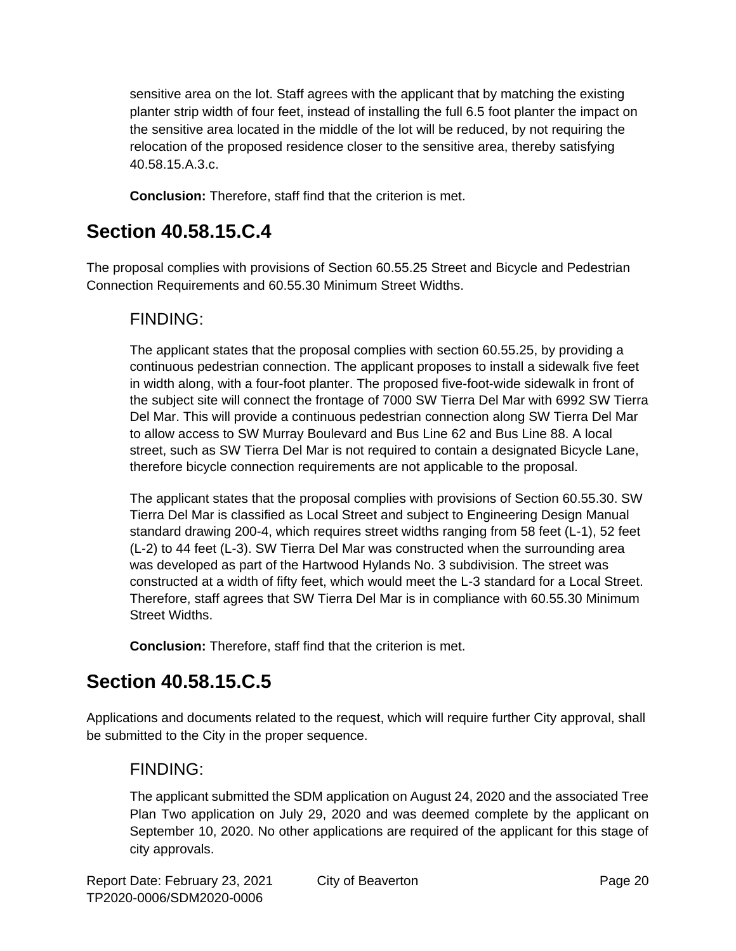sensitive area on the lot. Staff agrees with the applicant that by matching the existing planter strip width of four feet, instead of installing the full 6.5 foot planter the impact on the sensitive area located in the middle of the lot will be reduced, by not requiring the relocation of the proposed residence closer to the sensitive area, thereby satisfying 40.58.15.A.3.c.

**Conclusion:** Therefore, staff find that the criterion is met.

### **Section 40.58.15.C.4**

The proposal complies with provisions of Section 60.55.25 Street and Bicycle and Pedestrian Connection Requirements and 60.55.30 Minimum Street Widths.

#### FINDING:

The applicant states that the proposal complies with section 60.55.25, by providing a continuous pedestrian connection. The applicant proposes to install a sidewalk five feet in width along, with a four-foot planter. The proposed five-foot-wide sidewalk in front of the subject site will connect the frontage of 7000 SW Tierra Del Mar with 6992 SW Tierra Del Mar. This will provide a continuous pedestrian connection along SW Tierra Del Mar to allow access to SW Murray Boulevard and Bus Line 62 and Bus Line 88. A local street, such as SW Tierra Del Mar is not required to contain a designated Bicycle Lane, therefore bicycle connection requirements are not applicable to the proposal.

The applicant states that the proposal complies with provisions of Section 60.55.30. SW Tierra Del Mar is classified as Local Street and subject to Engineering Design Manual standard drawing 200-4, which requires street widths ranging from 58 feet (L-1), 52 feet (L-2) to 44 feet (L-3). SW Tierra Del Mar was constructed when the surrounding area was developed as part of the Hartwood Hylands No. 3 subdivision. The street was constructed at a width of fifty feet, which would meet the L-3 standard for a Local Street. Therefore, staff agrees that SW Tierra Del Mar is in compliance with 60.55.30 Minimum Street Widths.

**Conclusion:** Therefore, staff find that the criterion is met.

## **Section 40.58.15.C.5**

Applications and documents related to the request, which will require further City approval, shall be submitted to the City in the proper sequence.

### FINDING:

The applicant submitted the SDM application on August 24, 2020 and the associated Tree Plan Two application on July 29, 2020 and was deemed complete by the applicant on September 10, 2020. No other applications are required of the applicant for this stage of city approvals.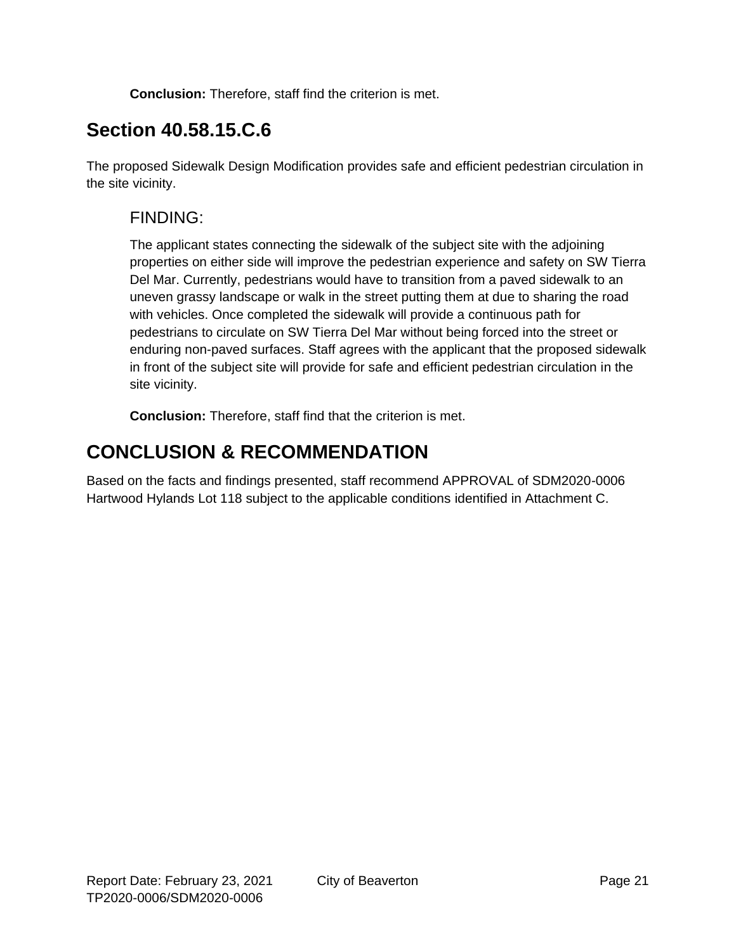**Conclusion:** Therefore, staff find the criterion is met.

### **Section 40.58.15.C.6**

The proposed Sidewalk Design Modification provides safe and efficient pedestrian circulation in the site vicinity.

### FINDING:

The applicant states connecting the sidewalk of the subject site with the adjoining properties on either side will improve the pedestrian experience and safety on SW Tierra Del Mar. Currently, pedestrians would have to transition from a paved sidewalk to an uneven grassy landscape or walk in the street putting them at due to sharing the road with vehicles. Once completed the sidewalk will provide a continuous path for pedestrians to circulate on SW Tierra Del Mar without being forced into the street or enduring non-paved surfaces. Staff agrees with the applicant that the proposed sidewalk in front of the subject site will provide for safe and efficient pedestrian circulation in the site vicinity.

**Conclusion:** Therefore, staff find that the criterion is met.

### **CONCLUSION & RECOMMENDATION**

Based on the facts and findings presented, staff recommend APPROVAL of SDM2020-0006 Hartwood Hylands Lot 118 subject to the applicable conditions identified in Attachment C.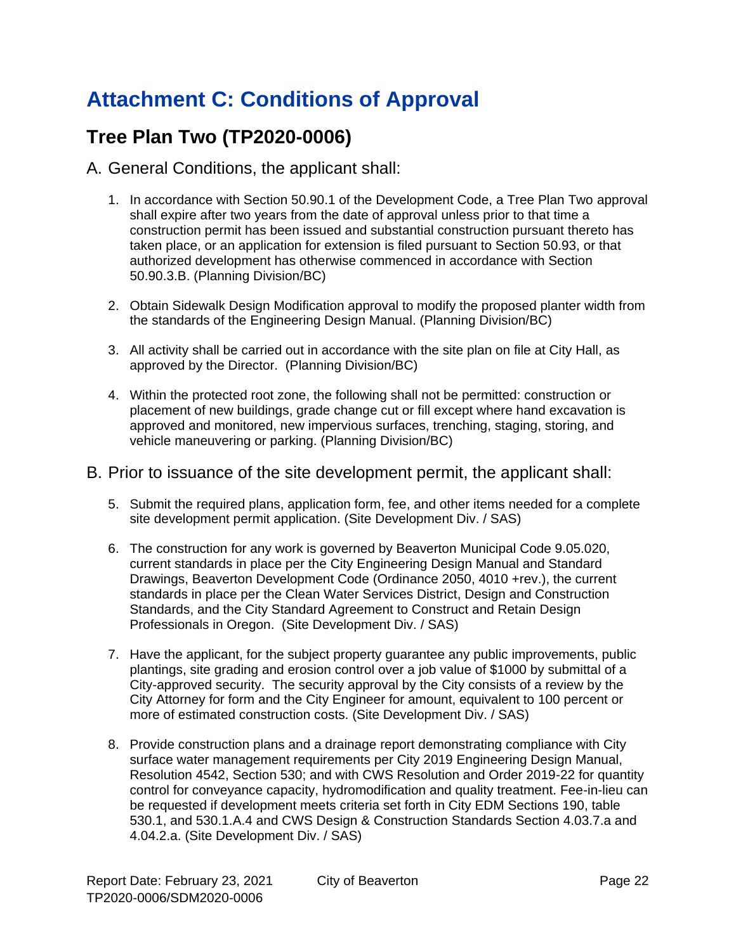# **Attachment C: Conditions of Approval**

## **Tree Plan Two (TP2020-0006)**

#### A. General Conditions, the applicant shall:

- 1. In accordance with Section 50.90.1 of the Development Code, a Tree Plan Two approval shall expire after two years from the date of approval unless prior to that time a construction permit has been issued and substantial construction pursuant thereto has taken place, or an application for extension is filed pursuant to Section 50.93, or that authorized development has otherwise commenced in accordance with Section 50.90.3.B. (Planning Division/BC)
- 2. Obtain Sidewalk Design Modification approval to modify the proposed planter width from the standards of the Engineering Design Manual. (Planning Division/BC)
- 3. All activity shall be carried out in accordance with the site plan on file at City Hall, as approved by the Director. (Planning Division/BC)
- 4. Within the protected root zone, the following shall not be permitted: construction or placement of new buildings, grade change cut or fill except where hand excavation is approved and monitored, new impervious surfaces, trenching, staging, storing, and vehicle maneuvering or parking. (Planning Division/BC)

#### B. Prior to issuance of the site development permit, the applicant shall:

- 5. Submit the required plans, application form, fee, and other items needed for a complete site development permit application. (Site Development Div. / SAS)
- 6. The construction for any work is governed by Beaverton Municipal Code 9.05.020, current standards in place per the City Engineering Design Manual and Standard Drawings, Beaverton Development Code (Ordinance 2050, 4010 +rev.), the current standards in place per the Clean Water Services District, Design and Construction Standards, and the City Standard Agreement to Construct and Retain Design Professionals in Oregon. (Site Development Div. / SAS)
- 7. Have the applicant, for the subject property guarantee any public improvements, public plantings, site grading and erosion control over a job value of \$1000 by submittal of a City-approved security. The security approval by the City consists of a review by the City Attorney for form and the City Engineer for amount, equivalent to 100 percent or more of estimated construction costs. (Site Development Div. / SAS)
- 8. Provide construction plans and a drainage report demonstrating compliance with City surface water management requirements per City 2019 Engineering Design Manual, Resolution 4542, Section 530; and with CWS Resolution and Order 2019-22 for quantity control for conveyance capacity, hydromodification and quality treatment. Fee-in-lieu can be requested if development meets criteria set forth in City EDM Sections 190, table 530.1, and 530.1.A.4 and CWS Design & Construction Standards Section 4.03.7.a and 4.04.2.a. (Site Development Div. / SAS)